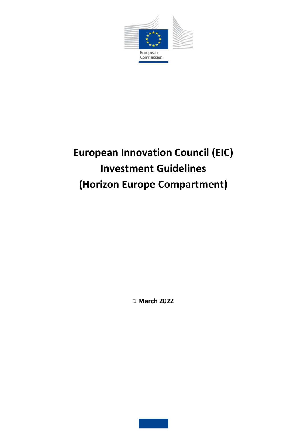

# **European Innovation Council (EIC) Investment Guidelines (Horizon Europe Compartment)**

**1 March 2022**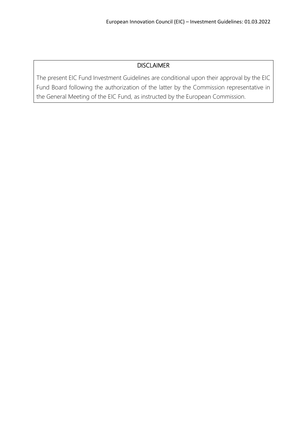## DISCLAIMER

The present EIC Fund Investment Guidelines are conditional upon their approval by the EIC Fund Board following the authorization of the latter by the Commission representative in the General Meeting of the EIC Fund, as instructed by the European Commission.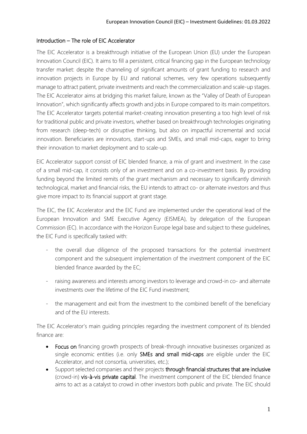#### Introduction – The role of EIC Accelerator

The EIC Accelerator is a breakthrough initiative of the European Union (EU) under the European Innovation Council (EIC). It aims to fill a persistent, critical financing gap in the European technology transfer market: despite the channeling of significant amounts of grant funding to research and innovation projects in Europe by EU and national schemes, very few operations subsequently manage to attract patient, private investments and reach the commercialization and scale-up stages. The EIC Accelerator aims at bridging this market failure, known as the "Valley of Death of European Innovation", which significantly affects growth and jobs in Europe compared to its main competitors. The EIC Accelerator targets potential market-creating innovation presenting a too high level of risk for traditional public and private investors, whether based on breakthrough technologies originating from research (deep-tech) or disruptive thinking, but also on impactful incremental and social innovation. Beneficiaries are innovators, start-ups and SMEs, and small mid-caps, eager to bring their innovation to market deployment and to scale-up.

EIC Accelerator support consist of EIC blended finance, a mix of grant and investment. In the case of a small mid-cap, it consists only of an investment and on a co-investment basis. By providing funding beyond the limited remits of the grant mechanism and necessary to significantly diminish technological, market and financial risks, the EU intends to attract co- or alternate investors and thus give more impact to its financial support at grant stage.

The EIC, the EIC Accelerator and the EIC Fund are implemented under the operational lead of the European Innovation and SME Executive Agency (EISMEA), by delegation of the European Commission (EC). In accordance with the Horizon Europe legal base and subject to these guidelines, the EIC Fund is specifically tasked with:

- the overall due diligence of the proposed transactions for the potential investment component and the subsequent implementation of the investment component of the EIC blended finance awarded by the EC;
- raising awareness and interests among investors to leverage and crowd-in co- and alternate investments over the lifetime of the EIC Fund investment;
- the management and exit from the investment to the combined benefit of the beneficiary and of the EU interests.

The EIC Accelerator's main guiding principles regarding the investment component of its blended finance are:

- Focus on financing growth prospects of break-through innovative businesses organized as single economic entities (i.e. only **SMEs and small mid-caps** are eligible under the EIC Accelerator, and not consortia, universities, etc.);
- Support selected companies and their projects through financial structures that are inclusive (crowd-in) vis-à-vis private capital. The investment component of the EIC blended finance aims to act as a catalyst to crowd in other investors both public and private. The EIC should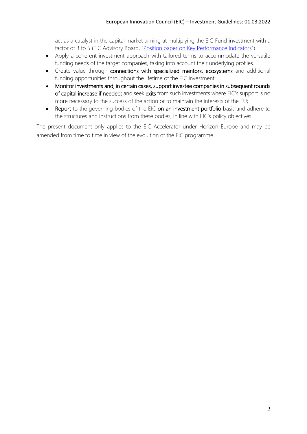act as a catalyst in the capital market aiming at multiplying the EIC Fund investment with a factor of 3 to 5 (EIC Advisory Board, "[Position paper on Key Performance Indicators](https://eic.ec.europa.eu/system/files/2021-03/ec_eic_position-paper-kpis.pdf)").

- Apply a coherent investment approach with tailored terms to accommodate the versatile funding needs of the target companies, taking into account their underlying profiles.
- Create value through connections with specialized mentors, ecosystems and additional funding opportunities throughout the lifetime of the EIC investment;
- Monitor investments and, in certain cases, support investee companies in subsequent rounds of capital increase if needed; and seek exits from such investments where EIC's support is no more necessary to the success of the action or to maintain the interests of the EU;
- Report to the governing bodies of the EIC on an investment portfolio basis and adhere to the structures and instructions from these bodies, in line with EIC's policy objectives.

The present document only applies to the EIC Accelerator under Horizon Europe and may be amended from time to time in view of the evolution of the EIC programme.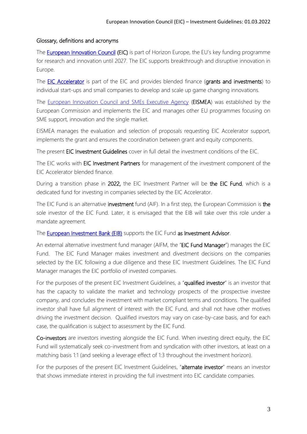#### Glossary, definitions and acronyms

The **European Innovation Council (EIC)** is part of Horizon Europe, the EU's key funding programme for research and innovation until 2027. The EIC supports breakthrough and disruptive innovation in Europe.

The **EIC Accelerator** is part of the EIC and provides blended finance (grants and investments) to individual start-ups and small companies to develop and scale up game changing innovations.

The [European Innovation Council and SMEs Executive Agency](https://eismea.ec.europa.eu/index_en) (EISMEA) was established by the European Commission and implements the EIC and manages other EU programmes focusing on SME support, innovation and the single market.

EISMEA manages the evaluation and selection of proposals requesting EIC Accelerator support, implements the grant and ensures the coordination between grant and equity components.

The present EIC Investment Guidelines cover in full detail the investment conditions of the EIC.

The EIC works with EIC Investment Partners for management of the investment component of the EIC Accelerator blended finance.

During a transition phase in 2022, the EIC Investment Partner will be the EIC Fund, which is a dedicated fund for investing in companies selected by the EIC Accelerator.

The EIC Fund is an alternative investment fund (AIF). In a first step, the European Commission is the sole investor of the EIC Fund. Later, it is envisaged that the EIB will take over this role under a mandate agreement.

### The **European Investment Bank (EIB)** supports the EIC Fund as Investment Advisor.

An external alternative investment fund manager (AIFM, the "EIC Fund Manager") manages the EIC Fund. The EIC Fund Manager makes investment and divestment decisions on the companies selected by the EIC following a due diligence and these EIC Investment Guidelines. The EIC Fund Manager manages the EIC portfolio of invested companies.

For the purposes of the present EIC Investment Guidelines, a "qualified investor" is an investor that has the capacity to validate the market and technology prospects of the prospective investee company, and concludes the investment with market compliant terms and conditions. The qualified investor shall have full alignment of interest with the EIC Fund, and shall not have other motives driving the investment decision. Qualified investors may vary on case-by-case basis, and for each case, the qualification is subject to assessment by the EIC Fund.

Co-investors are investors investing alongside the EIC Fund. When investing direct equity, the EIC Fund will systematically seek co-investment from and syndication with other investors, at least on a matching basis 1:1 (and seeking a leverage effect of 1:3 throughout the investment horizon).

For the purposes of the present EIC Investment Guidelines, "alternate investor" means an investor that shows immediate interest in providing the full investment into EIC candidate companies.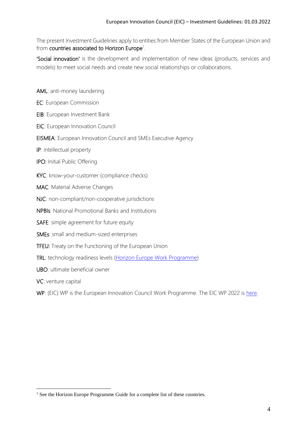The present Investment Guidelines apply to entities from Member States of the European Union and from countries associated to Horizon Europe<sup>1</sup>.

'Social innovation' is the development and implementation of new ideas (products, services and models) to meet social needs and create new social relationships or collaborations.

AML: anti-money laundering

- EC: European Commission
- EIB: European Investment Bank
- EIC: European Innovation Council
- EISMEA: European Innovation Council and SMEs Executive Agency
- IP: intellectual property
- IPO: Initial Public Offering
- KYC: know-your-customer (compliance checks)
- MAC: Material Adverse Changes
- NJC: non-compliant/non-cooperative jurisdictions
- NPBIs: National Promotional Banks and Institutions
- SAFE: simple agreement for future equity
- SMEs: small and medium-sized enterprises
- TFEU: Treaty on the Functioning of the European Union
- TRL: technology readiness levels (Horizon [Europe Work Programme\)](https://ec.europa.eu/info/funding-tenders/opportunities/docs/2021-2027/horizon/wp-call/2021-2022/wp-13-general-annexes_horizon-2021-2022_en.pdf)
- UBO: ultimate beneficial owner
- VC: venture capital

<u>.</u>

WP: (EIC) WP is the European Innovation Council Work Programme. The EIC WP 2022 is [here.](https://eic.ec.europa.eu/document/download/8c9ca0e4-6d66-4d8c-be06-caa02b8d9d2c_en)

<sup>&</sup>lt;sup>1</sup> See the Horizon Europe Programme Guide for a complete list of these countries.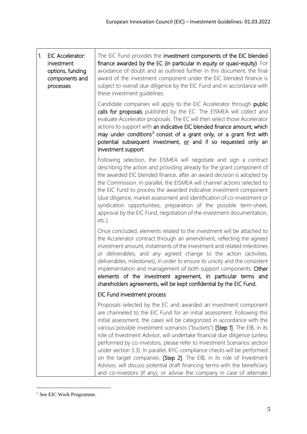#### 1. EIC Accelerator: investment options, funding components and processes The EIC Fund provides the investment components of the EIC blended finance awarded by the EC (in particular in equity or quasi-equity). For avoidance of doubt and as outlined further in this document, the final award of the investment component under the EIC blended finance is subject to overall due diligence by the EIC Fund and in accordance with these investment guidelines. Candidate companies will apply to the EIC Accelerator through public calls for proposals published by the EC. The EISMEA will collect and evaluate Accelerator proposals. The EC will then select those Accelerator actions to support with an indicative EIC blended finance amount, which may under conditions<sup>2</sup> consist of a grant only, or a grant first with potential subsequent investment, or and if so requested only an investment support. Following selection, the EISMEA will negotiate and sign a contract describing the action and providing already for the grant component of the awarded EIC blended finance, after an award decision is adopted by the Commission. In parallel, the EISMEA will channel actions selected to the EIC Fund to process the awarded indicative investment component (due diligence, market assessment and identification of co-investment or syndication opportunities, preparation of the possible term-sheet, approval by the EIC Fund, negotiation of the investment documentation, etc.). Once concluded, elements related to the investment will be attached to the Accelerator contract through an amendment, reflecting the agreed investment amount, instalments of the investment and related milestones or deliverables, and any agreed change to the action (activities, deliverables, milestones), in order to ensure its unicity and the consistent implementation and management of both support components. Other elements of the investment agreement, in particular terms and shareholders agreements, will be kept confidential by the EIC Fund. EIC Fund investment process: Proposals selected by the EC and awarded an investment component are channeled to the EIC Fund for an initial assessment. Following this initial assessment, the cases will be categorized in accordance with the various possible investment scenarios ("buckets") [Step 1]. The EIB, in its role of Investment Advisor, will undertake financial due diligence (unless performed by co-investors, please refer to Investment Scenarios section under section 3.3). In parallel, KYC-compliance checks will be performed

on the target companies. [Step 2]. The EIB, in its role of Investment Advisor, will discuss potential draft financing terms with the beneficiary and co-investors (if any), or advise the company in case of alternate

1

<sup>2</sup> See EIC Work Programme.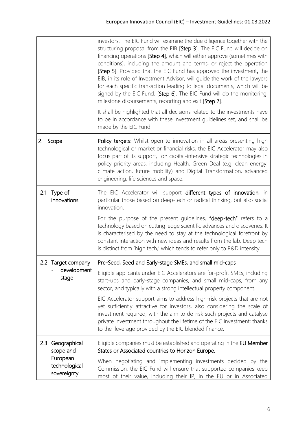|                                          | investors. The EIC Fund will examine the due diligence together with the<br>structuring proposal from the EIB [Step 3]. The EIC Fund will decide on<br>financing operations [Step 4], which will either approve (sometimes with<br>conditions), including the amount and terms, or reject the operation<br>[Step 5]. Provided that the EIC Fund has approved the investment, the<br>EIB, in its role of Investment Advisor, will guide the work of the lawyers<br>for each specific transaction leading to legal documents, which will be<br>signed by the EIC Fund. [Step 6]. The EIC Fund will do the monitoring,<br>milestone disbursements, reporting and exit [Step 7]. |
|------------------------------------------|------------------------------------------------------------------------------------------------------------------------------------------------------------------------------------------------------------------------------------------------------------------------------------------------------------------------------------------------------------------------------------------------------------------------------------------------------------------------------------------------------------------------------------------------------------------------------------------------------------------------------------------------------------------------------|
|                                          | It shall be highlighted that all decisions related to the investments have<br>to be in accordance with these investment guidelines set, and shall be<br>made by the EIC Fund.                                                                                                                                                                                                                                                                                                                                                                                                                                                                                                |
| 2.<br>Scope                              | Policy targets: Whilst open to innovation in all areas presenting high<br>technological or market or financial risks, the EIC Accelerator may also<br>focus part of its support, on capital-intensive strategic technologies in<br>policy priority areas, including Health, Green Deal (e.g. clean energy,<br>climate action, future mobility) and Digital Transformation, advanced<br>engineering, life sciences and space.                                                                                                                                                                                                                                                 |
| 2.1 Type of<br>innovations               | The EIC Accelerator will support different types of innovation, in<br>particular those based on deep-tech or radical thinking, but also social<br>innovation.                                                                                                                                                                                                                                                                                                                                                                                                                                                                                                                |
|                                          | For the purpose of the present guidelines, "deep-tech" refers to a<br>technology based on cutting-edge scientific advances and discoveries. It<br>is characterised by the need to stay at the technological forefront by<br>constant interaction with new ideas and results from the lab. Deep tech<br>is distinct from 'high tech,' which tends to refer only to R&D intensity.                                                                                                                                                                                                                                                                                             |
| 2.2 Target company                       | Pre-Seed, Seed and Early-stage SMEs, and small mid-caps                                                                                                                                                                                                                                                                                                                                                                                                                                                                                                                                                                                                                      |
| development<br>stage                     | Eligible applicants under EIC Accelerators are for-profit SMEs, including<br>start-ups and early-stage companies, and small mid-caps, from any<br>sector, and typically with a strong intellectual property component.                                                                                                                                                                                                                                                                                                                                                                                                                                                       |
|                                          | EIC Accelerator support aims to address high-risk projects that are not<br>yet sufficiently attractive for investors, also considering the scale of<br>investment required, with the aim to de-risk such projects and catalyse<br>private investment throughout the lifetime of the EIC investment; thanks<br>to the leverage provided by the EIC blended finance.                                                                                                                                                                                                                                                                                                           |
| 2.3<br>Geographical<br>scope and         | Eligible companies must be established and operating in the EU Member<br>States or Associated countries to Horizon Europe.                                                                                                                                                                                                                                                                                                                                                                                                                                                                                                                                                   |
| European<br>technological<br>sovereignty | When negotiating and implementing investments decided by the<br>Commission, the EIC Fund will ensure that supported companies keep<br>most of their value, including their IP, in the EU or in Associated                                                                                                                                                                                                                                                                                                                                                                                                                                                                    |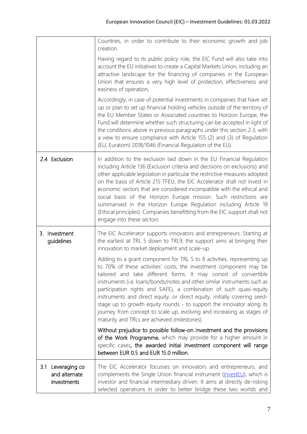|                                                      | Countries, in order to contribute to their economic growth and job<br>creation.                                                                                                                                                                                                                                                                                                                                                                                                                                                                                                                                                                     |
|------------------------------------------------------|-----------------------------------------------------------------------------------------------------------------------------------------------------------------------------------------------------------------------------------------------------------------------------------------------------------------------------------------------------------------------------------------------------------------------------------------------------------------------------------------------------------------------------------------------------------------------------------------------------------------------------------------------------|
|                                                      | Having regard to its public policy role, the EIC Fund will also take into<br>account the EU initiatives to create a Capital Markets Union, including an<br>attractive landscape for the financing of companies in the European<br>Union that ensures a very high level of protection, effectiveness and<br>easiness of operation,                                                                                                                                                                                                                                                                                                                   |
|                                                      | Accordingly, in case of potential investments in companies that have set<br>up or plan to set up financial holding vehicles outside of the territory of<br>the EU Member States or Associated countries to Horizon Europe, the<br>Fund will determine whether such structuring can be accepted in light of<br>the conditions above in previous paragraphs under this section 2.3, with<br>a view to ensure compliance with Article 155 (2) and (3) of Regulation<br>(EU, Euratom) 2018/1046 (Financial Regulation of the EU).                                                                                                                       |
| 2.4 Exclusion                                        | In addition to the exclusion laid down in the EU Financial Regulation<br>including Article 136 (Exclusion criteria and decisions on exclusions) and<br>other applicable legislation in particular the restrictive measures adopted<br>on the basis of Article 215 TFEU, the EIC Accelerator shall not invest in<br>economic sectors that are considered incompatible with the ethical and<br>social basis of the Horizon Europe mission. Such restrictions are<br>summarised in the Horizon Europe Regulation including Article 19<br>(Ethical principles). Companies benefitting from the EIC support shall not<br>engage into these sectors       |
| 3. Investment<br>guidelines                          | The EIC Accelerator supports innovators and entrepreneurs. Starting at<br>the earliest at TRL 5 down to TRL9, the support aims at bringing their<br>innovation to market deployment and scale-up.                                                                                                                                                                                                                                                                                                                                                                                                                                                   |
|                                                      | Adding to a grant component for TRL 5 to 8 activities, representing up<br>to 70% of these activities' costs, the investment component may be<br>tailored and take different forms. It may consist of convertible<br>instruments (i.e. loans/bonds/notes and other similar instruments such as<br>participation rights and SAFE), a combination of such quasi-equity<br>instruments and direct equity, or direct equity, initially covering seed-<br>stage up to growth equity rounds - to support the innovator along its<br>journey from concept to scale up, evolving and increasing as stages of<br>maturity and TRLs are achieved (milestones). |
|                                                      | Without prejudice to possible follow-on investment and the provisions<br>of the Work Programme, which may provide for a higher amount in<br>specific cases, the awarded initial investment component will range<br>between EUR 0.5 and EUR 15.0 million.                                                                                                                                                                                                                                                                                                                                                                                            |
| Leveraging co<br>3.1<br>and alternate<br>investments | The EIC Accelerator focusses on innovators and entrepreneurs, and<br>complements the Single Union financial instrument (InvestEU), which is<br>investor and financial intermediary driven. It aims at directly de-risking<br>selected operations in order to better bridge these two worlds and                                                                                                                                                                                                                                                                                                                                                     |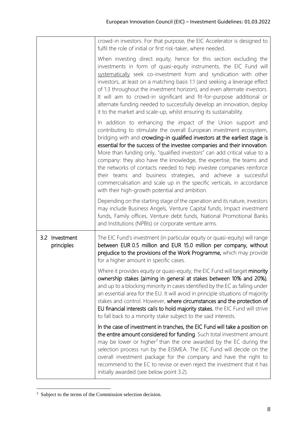|                              | crowd-in investors. For that purpose, the EIC Accelerator is designed to<br>fulfil the role of initial or first risk-taker, where needed.                                                                                                                                                                                                                                                                                                                                                                                                                                                                                                                                                                                 |
|------------------------------|---------------------------------------------------------------------------------------------------------------------------------------------------------------------------------------------------------------------------------------------------------------------------------------------------------------------------------------------------------------------------------------------------------------------------------------------------------------------------------------------------------------------------------------------------------------------------------------------------------------------------------------------------------------------------------------------------------------------------|
|                              | When investing direct equity, hence for this section excluding the<br>investments in form of quasi-equity instruments, the EIC Fund will<br>systematically seek co-investment from and syndication with other<br>investors, at least on a matching basis 1:1 (and seeking a leverage effect<br>of 1:3 throughout the investment horizon), and even alternate investors.<br>It will aim to crowd-in significant and fit-for-purpose additional or<br>alternate funding needed to successfully develop an innovation, deploy<br>it to the market and scale-up, whilst ensuring its sustainability.                                                                                                                          |
|                              | In addition to enhancing the impact of the Union support and<br>contributing to stimulate the overall European investment ecosystem,<br>bridging with and crowding-in qualified investors at the earliest stage is<br>essential for the success of the investee companies and their innovation.<br>More than funding only, "qualified investors" can add critical value to a<br>company: they also have the knowledge, the expertise, the teams and<br>the networks of contacts needed to help investee companies reinforce<br>their teams and business strategies, and achieve a successful<br>commercialisation and scale up in the specific verticals, in accordance<br>with their high-growth potential and ambition. |
|                              | Depending on the starting stage of the operation and its nature, investors<br>may include Business Angels, Venture Capital funds, Impact investment<br>funds, Family offices, Venture debt funds, National Promotional Banks<br>and Institutions (NPBIs) or corporate venture arms.                                                                                                                                                                                                                                                                                                                                                                                                                                       |
| 3.2 Investment<br>principles | The EIC Fund's investment (in particular equity or quasi-equity) will range<br>between EUR 0.5 million and EUR 15.0 million per company, without<br>prejudice to the provisions of the Work Programme, which may provide<br>for a higher amount in specific cases.                                                                                                                                                                                                                                                                                                                                                                                                                                                        |
|                              | Where it provides equity or quasi-equity, the EIC Fund will target minority<br>ownership stakes (aiming in general at stakes between 10% and 20%),<br>and up to a blocking minority in cases identified by the EC as falling under<br>an essential area for the EU. It will avoid in principle situations of majority<br>stakes and control. However, where circumstances and the protection of<br>EU financial interests calls to hold majority stakes, the EIC Fund will strive<br>to fall back to a minority stake subject to the said interests.                                                                                                                                                                      |
|                              | In the case of investment in tranches, the EIC Fund will take a position on<br>the entire amount considered for funding. Such total investment amount<br>may be lower or higher <sup>3</sup> than the one awarded by the EC during the<br>selection process run by the EISMEA. The EIC Fund will decide on the<br>overall investment package for the company and have the right to<br>recommend to the EC to revise or even reject the investment that it has<br>initially awarded (see below point 3.2).                                                                                                                                                                                                                 |

 $\frac{3}{3}$  Subject to the terms of the Commission selection decision.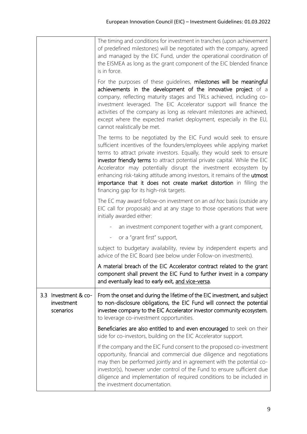|                                                    | The timing and conditions for investment in tranches (upon achievement<br>of predefined milestones) will be negotiated with the company, agreed<br>and managed by the EIC Fund, under the operational coordination of<br>the EISMEA as long as the grant component of the EIC blended finance<br>is in force.                                                                                                                                                                                                                                                       |
|----------------------------------------------------|---------------------------------------------------------------------------------------------------------------------------------------------------------------------------------------------------------------------------------------------------------------------------------------------------------------------------------------------------------------------------------------------------------------------------------------------------------------------------------------------------------------------------------------------------------------------|
|                                                    | For the purposes of these guidelines, milestones will be meaningful<br>achievements in the development of the innovative project of a<br>company, reflecting maturity stages and TRLs achieved, including co-<br>investment leveraged. The EIC Accelerator support will finance the<br>activities of the company as long as relevant milestones are achieved,<br>except where the expected market deployment, especially in the EU,<br>cannot realistically be met.                                                                                                 |
|                                                    | The terms to be negotiated by the EIC Fund would seek to ensure<br>sufficient incentives of the founders/employees while applying market<br>terms to attract private investors. Equally, they would seek to ensure<br>investor friendly terms to attract potential private capital. While the EIC<br>Accelerator may potentially disrupt the investment ecosystem by<br>enhancing risk-taking attitude among investors, it remains of the utmost<br>importance that it does not create market distortion in filling the<br>financing gap for its high-risk targets. |
|                                                    | The EC may award follow-on investment on an <i>ad hoc</i> basis (outside any<br>EIC call for proposals) and at any stage to those operations that were<br>initially awarded either:                                                                                                                                                                                                                                                                                                                                                                                 |
|                                                    | an investment component together with a grant component,                                                                                                                                                                                                                                                                                                                                                                                                                                                                                                            |
|                                                    | or a "grant first" support,                                                                                                                                                                                                                                                                                                                                                                                                                                                                                                                                         |
|                                                    | subject to budgetary availability, review by independent experts and<br>advice of the EIC Board (see below under Follow-on investments).                                                                                                                                                                                                                                                                                                                                                                                                                            |
|                                                    | A material breach of the EIC Accelerator contract related to the grant<br>component shall prevent the EIC Fund to further invest in a company<br>and eventually lead to early exit, and vice-versa.                                                                                                                                                                                                                                                                                                                                                                 |
| 3.3<br>Investment & co-<br>investment<br>scenarios | From the onset and during the lifetime of the EIC investment, and subject<br>to non-disclosure obligations, the EIC Fund will connect the potential<br>investee company to the EIC Accelerator investor community ecosystem,<br>to leverage co-investment opportunities.                                                                                                                                                                                                                                                                                            |
|                                                    | Beneficiaries are also entitled to and even encouraged to seek on their<br>side for co-investors, building on the EIC Accelerator support.                                                                                                                                                                                                                                                                                                                                                                                                                          |
|                                                    | If the company and the EIC Fund consent to the proposed co-investment<br>opportunity, financial and commercial due diligence and negotiations<br>may then be performed jointly and in agreement with the potential co-<br>investor(s), however under control of the Fund to ensure sufficient due<br>diligence and implementation of required conditions to be included in<br>the investment documentation.                                                                                                                                                         |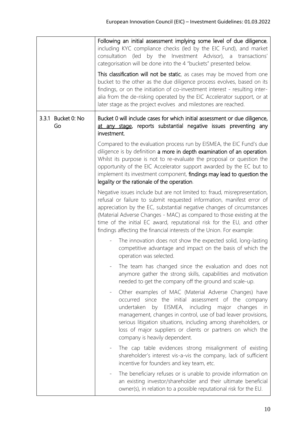|                          | Following an initial assessment implying some level of due diligence,<br>including KYC compliance checks (led by the EIC Fund), and market<br>consultation (led by the Investment Advisor), a transactions'<br>categorisation will be done into the 4 "buckets" presented below.<br>This classification will not be static, as cases may be moved from one                                                                                             |
|--------------------------|--------------------------------------------------------------------------------------------------------------------------------------------------------------------------------------------------------------------------------------------------------------------------------------------------------------------------------------------------------------------------------------------------------------------------------------------------------|
|                          | bucket to the other as the due diligence process evolves, based on its<br>findings, or on the initiation of co-investment interest - resulting inter-<br>alia from the de-risking operated by the EIC Accelerator support, or at<br>later stage as the project evolves and milestones are reached.                                                                                                                                                     |
| 3.3.1 Bucket 0: No<br>Go | Bucket 0 will include cases for which initial assessment or due diligence,<br>at any stage, reports substantial negative issues preventing any<br>investment.                                                                                                                                                                                                                                                                                          |
|                          | Compared to the evaluation process run by EISMEA, the EIC Fund's due<br>diligence is by definition a more in depth examination of an operation.<br>Whilst its purpose is not to re-evaluate the proposal or question the<br>opportunity of the EIC Accelerator support awarded by the EC but to<br>implement its investment component, findings may lead to question the<br>legality or the rationale of the operation.                                |
|                          | Negative issues include but are not limited to: fraud, misrepresentation,<br>refusal or failure to submit requested information, manifest error of<br>appreciation by the EC, substantial negative changes of circumstances<br>(Material Adverse Changes - MAC) as compared to those existing at the<br>time of the initial EC award, reputational risk for the EU, and other<br>findings affecting the financial interests of the Union. For example: |
|                          | The innovation does not show the expected solid, long-lasting<br>competitive advantage and impact on the basis of which the<br>operation was selected.                                                                                                                                                                                                                                                                                                 |
|                          | The team has changed since the evaluation and does not<br>anymore gather the strong skills, capabilities and motivation<br>needed to get the company off the ground and scale-up.                                                                                                                                                                                                                                                                      |
|                          | Other examples of MAC (Material Adverse Changes) have<br>occurred since the initial assessment of the company<br>EISMEA, including<br>undertaken<br>by<br>major changes<br>in<br>management, changes in control, use of bad leaver provisions,<br>serious litigation situations, including among shareholders, or<br>loss of major suppliers or clients or partners on which the<br>company is heavily dependent.                                      |
|                          | The cap table evidences strong misalignment of existing<br>shareholder's interest vis-a-vis the company, lack of sufficient<br>incentive for founders and key team, etc.                                                                                                                                                                                                                                                                               |
|                          | The beneficiary refuses or is unable to provide information on<br>an existing investor/shareholder and their ultimate beneficial<br>owner(s), in relation to a possible reputational risk for the EU.                                                                                                                                                                                                                                                  |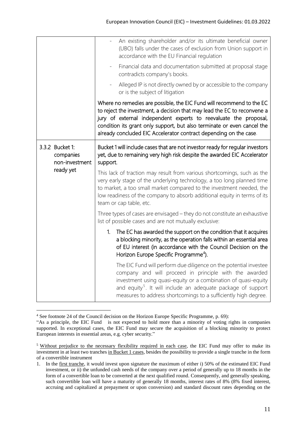|                                                             | An existing shareholder and/or its ultimate beneficial owner<br>(UBO) falls under the cases of exclusion from Union support in<br>accordance with the EU Financial regulation                                                                                                                                                                                         |
|-------------------------------------------------------------|-----------------------------------------------------------------------------------------------------------------------------------------------------------------------------------------------------------------------------------------------------------------------------------------------------------------------------------------------------------------------|
|                                                             | Financial data and documentation submitted at proposal stage<br>contradicts company's books.                                                                                                                                                                                                                                                                          |
|                                                             | Alleged IP is not directly owned by or accessible to the company<br>or is the subject of litigation                                                                                                                                                                                                                                                                   |
|                                                             | Where no remedies are possible, the EIC Fund will recommend to the EC<br>to reject the investment, a decision that may lead the EC to reconvene a<br>jury of external independent experts to reevaluate the proposal,<br>condition its grant only support, but also terminate or even cancel the<br>already concluded EIC Accelerator contract depending on the case. |
| 3.3.2 Bucket 1:<br>companies<br>non-investment<br>ready yet | Bucket 1 will include cases that are not investor ready for regular investors<br>yet, due to remaining very high risk despite the awarded EIC Accelerator<br>support.                                                                                                                                                                                                 |
|                                                             | This lack of traction may result from various shortcomings, such as the<br>very early stage of the underlying technology, a too long planned time<br>to market, a too small market compared to the investment needed, the<br>low readiness of the company to absorb additional equity in terms of its<br>team or cap table, etc.                                      |
|                                                             | Three types of cases are envisaged - they do not constitute an exhaustive<br>list of possible cases and are not mutually exclusive:                                                                                                                                                                                                                                   |
|                                                             | 1 <sub>1</sub><br>The EC has awarded the support on the condition that it acquires<br>a blocking minority, as the operation falls within an essential area<br>of EU interest (in accordance with the Council Decision on the<br>Horizon Europe Specific Programme <sup>4</sup> ).                                                                                     |
|                                                             | The EIC Fund will perform due diligence on the potential investee<br>company and will proceed in principle with the awarded<br>investment using quasi-equity or a combination of quasi-equity<br>and equity <sup>5</sup> . It will include an adequate package of support<br>measures to address shortcomings to a sufficiently high degree.                          |

<sup>&</sup>lt;sup>4</sup> See footnote 24 of the Council decision on the Horizon Europe Specific Programme, p. 69):

<u>.</u>

<sup>&</sup>quot;As a principle, the EIC Fund is not expected to hold more than a minority of voting rights in companies supported. In exceptional cases, the EIC Fund may secure the acquisition of a blocking minority to protect European interests in essential areas, e.g. cyber security."

<sup>&</sup>lt;sup>5</sup> Without prejudice to the necessary flexibility required in each case, the EIC Fund may offer to make its investment in at least two tranches in Bucket 1 cases, besides the possibility to provide a single tranche in the form of a convertible instrument

<sup>1.</sup> In the first tranche, it would invest upon signature the maximum of either i) 50% of the estimated EIC Fund investment, or ii) the unfunded cash needs of the company over a period of generally up to 18 months in the form of a convertible loan to be converted at the next qualified round. Consequently, and generally speaking, such convertible loan will have a maturity of generally 18 months, interest rates of 8% (8% fixed interest, accruing and capitalized at prepayment or upon conversion) and standard discount rates depending on the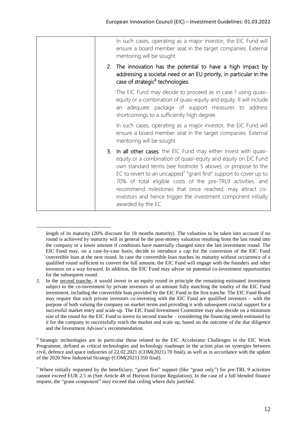|  | In such cases, operating as a major investor, the EIC Fund will<br>ensure a board member seat in the target companies. External<br>mentoring will be sought.                                                                                                                                                                                                                                                                                                                                           |
|--|--------------------------------------------------------------------------------------------------------------------------------------------------------------------------------------------------------------------------------------------------------------------------------------------------------------------------------------------------------------------------------------------------------------------------------------------------------------------------------------------------------|
|  | 2. The innovation has the potential to have a high impact by<br>addressing a societal need or an EU priority, in particular in the<br>case of strategic <sup>6</sup> technologies.                                                                                                                                                                                                                                                                                                                     |
|  | The EIC Fund may decide to proceed as in case 1 using quasi-<br>equity or a combination of quasi-equity and equity. It will include<br>an adequate package of support measures to address<br>shortcomings to a sufficiently high degree.                                                                                                                                                                                                                                                               |
|  | In such cases, operating as a major investor, the EIC Fund will<br>ensure a board member seat in the target companies. External<br>mentoring will be sought.                                                                                                                                                                                                                                                                                                                                           |
|  | 3. In all other cases, the EIC Fund may either invest with quasi-<br>equity or a combination of quasi-equity and equity on EIC Fund<br>own standard terms (see footnote 5 above), or propose to the<br>EC to revert to an uncapped <sup>7</sup> "grant first" support to cover up to<br>70% of total eligible costs of the pre-TRL9 activities, and<br>recommend milestones that once reached, may attract co-<br>investors and hence trigger the investment component initially<br>awarded by the EC. |

length of its maturity (20% discount for 18 months maturity). The valuation to be taken into account if no round is achieved by maturity will in general be the post-money valuation resulting from the last round into the company or a lower amount if conditions have materially changed since the last investment round. The EIC Fund may, on a case-by-case basis, decide to introduce a cap for the conversion of the EIC Fund convertible loan at the next round. In case the convertible loan reaches its maturity without occurrence of a qualified round sufficient to convert the full amount, the EIC Fund will engage with the founders and other investors on a way forward. In addition, the EIC Fund may advise on potential co-investment opportunities for the subsequent round.

1

<sup>6</sup> Strategic technologies are in particular those related to the EIC Accelerator Challenges in the EIC Work Programme, defined as critical technologies and technology roadmaps in the action plan on synergies between civil, defence and space industries of 22.02.2021 (COM(2021) 70 final), as well as in accordance with the update of the 2020 New Industrial Strategy (COM(2021) 350 final).

<sup>2.</sup> In the second tranche, it would invest in an equity round in principle the remaining estimated investment subject to the co-investment by private investors of an amount fully matching the totality of the EIC Fund investment, including the convertible loan provided by the EIC Fund in the first tranche. The EIC Fund Board may require that such private investors co-investing with the EIC Fund are qualified investors – with the purpose of both valuing the company on market terms and providing it with subsequent crucial support for a successful market entry and scale-up. The EIC Fund Investment Committee may also decide on a minimum size of the round for the EIC Fund to invest its second tranche – considering the financing needs estimated by it for the company to successfully reach the market and scale up, based on the outcome of the due diligence and the Investment Advisor's recommendation.

<sup>7</sup> Where initially requested by the beneficiary, "grant first" support (like "grant only") for pre-TRL 9 activities cannot exceed EUR 2.5 m (See Article 48 of Horizon Europe Regulation). In the case of a full blended finance request, the "grant component" may exceed that ceiling where duly justified.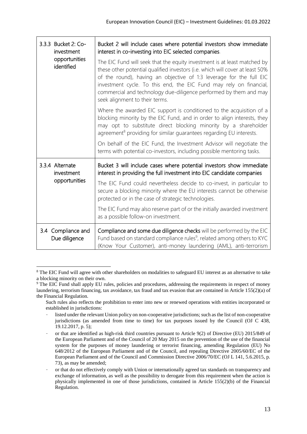| 3.3.3 Bucket 2: Co-<br>investment<br>opportunities<br>identified | Bucket 2 will include cases where potential investors show immediate<br>interest in co-investing into EIC selected companies.                                                                                                                                                                                                                                                                                 |
|------------------------------------------------------------------|---------------------------------------------------------------------------------------------------------------------------------------------------------------------------------------------------------------------------------------------------------------------------------------------------------------------------------------------------------------------------------------------------------------|
|                                                                  | The EIC Fund will seek that the equity investment is at least matched by<br>these other potential qualified investors (i.e. which will cover at least 50%<br>of the round), having an objective of 1:3 leverage for the full EIC<br>investment cycle. To this end, the EIC Fund may rely on financial,<br>commercial and technology due-diligence performed by them and may<br>seek alignment to their terms. |
|                                                                  | Where the awarded EIC support is conditioned to the acquisition of a<br>blocking minority by the EIC Fund, and in order to align interests, they<br>may opt to substitute direct blocking minority by a shareholder<br>agreement <sup>8</sup> providing for similar guarantees regarding EU interests.                                                                                                        |
|                                                                  | On behalf of the EIC Fund, the Investment Advisor will negotiate the<br>terms with potential co-investors, including possible mentoring tasks.                                                                                                                                                                                                                                                                |
| 3.3.4 Alternate<br>investment<br>opportunities                   | Bucket 3 will include cases where potential investors show immediate<br>interest in providing the full investment into EIC candidate companies                                                                                                                                                                                                                                                                |
|                                                                  | The EIC Fund could nevertheless decide to co-invest, in particular to<br>secure a blocking minority where the EU interests cannot be otherwise<br>protected or in the case of strategic technologies.                                                                                                                                                                                                         |
|                                                                  | The EIC Fund may also reserve part of or the initially awarded investment<br>as a possible follow-on investment.                                                                                                                                                                                                                                                                                              |
| 3.4 Compliance and<br>Due diligence                              | Compliance and some due diligence checks will be performed by the EIC<br>Fund based on standard compliance rules <sup>9</sup> , related among others to KYC<br>(Know Your Customer), anti-money laundering (AML), anti-terrorism                                                                                                                                                                              |

<sup>1</sup> <sup>8</sup> The EIC Fund will agree with other shareholders on modalities to safeguard EU interest as an alternative to take a blocking minority on their own.

<sup>&</sup>lt;sup>9</sup> The EIC Fund shall apply EU rules, policies and procedures, addressing the requirements in respect of money laundering, terrorism financing, tax avoidance, tax fraud and tax evasion that are contained in Article 155(2)(a) of the Financial Regulation.

Such rules also reflects the prohibition to enter into new or renewed operations with entities incorporated or established in jurisdictions:

listed under the relevant Union policy on non-cooperative jurisdictions; such as the list of non-cooperative jurisdictions (as amended from time to time) for tax purposes issued by the Council (OJ C 438, 19.12.2017, p. 5);

or that are identified as high-risk third countries pursuant to Article 9(2) of Directive (EU) 2015/849 of the European Parliament and of the Council of 20 May 2015 on the prevention of the use of the financial system for the purposes of money laundering or terrorist financing, amending Regulation (EU) No 648/2012 of the European Parliament and of the Council, and repealing Directive 2005/60/EC of the European Parliament and of the Council and Commission Directive 2006/70/EC (OJ L 141, 5.6.2015, p. 73), as may be amended;

<sup>-</sup> or that do not effectively comply with Union or internationally agreed tax standards on transparency and exchange of information, as well as the possibility to derogate from this requirement when the action is physically implemented in one of those jurisdictions, contained in Article 155(2)(b) of the Financial Regulation.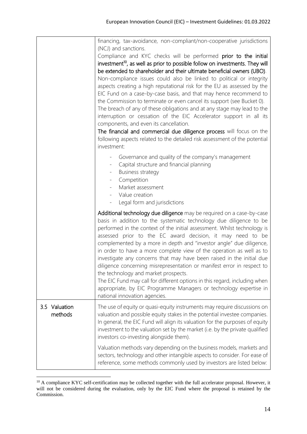|                          | financing, tax-avoidance, non-compliant/non-cooperative jurisdictions<br>(NCJ) and sanctions.<br>Compliance and KYC checks will be performed prior to the initial<br>investment <sup>10</sup> , as well as prior to possible follow on investments. They will<br>be extended to shareholder and their ultimate beneficial owners (UBO).<br>Non-compliance issues could also be linked to political or integrity<br>aspects creating a high reputational risk for the EU as assessed by the<br>EIC Fund on a case-by-case basis, and that may hence recommend to<br>the Commission to terminate or even cancel its support (see Bucket 0).<br>The breach of any of these obligations and at any stage may lead to the<br>interruption or cessation of the EIC Accelerator support in all its<br>components, and even its cancellation.<br>The financial and commercial due diligence process will focus on the<br>following aspects related to the detailed risk assessment of the potential<br>investment: |
|--------------------------|------------------------------------------------------------------------------------------------------------------------------------------------------------------------------------------------------------------------------------------------------------------------------------------------------------------------------------------------------------------------------------------------------------------------------------------------------------------------------------------------------------------------------------------------------------------------------------------------------------------------------------------------------------------------------------------------------------------------------------------------------------------------------------------------------------------------------------------------------------------------------------------------------------------------------------------------------------------------------------------------------------|
|                          | Governance and quality of the company's management<br>$\overline{\phantom{0}}$<br>Capital structure and financial planning<br><b>Business strategy</b><br>$\overline{\phantom{a}}$<br>Competition<br>$\overline{\phantom{a}}$<br>Market assessment<br>- Value creation<br>Legal form and jurisdictions                                                                                                                                                                                                                                                                                                                                                                                                                                                                                                                                                                                                                                                                                                     |
|                          | Additional technology due diligence may be required on a case-by-case<br>basis in addition to the systematic technology due diligence to be<br>performed in the context of the initial assessment. Whilst technology is<br>assessed prior to the EC award decision, it may need to be<br>complemented by a more in depth and "investor angle" due diligence,<br>in order to have a more complete view of the operation as well as to<br>investigate any concerns that may have been raised in the initial due<br>diligence concerning misrepresentation or manifest error in respect to<br>the technology and market prospects.<br>The EIC Fund may call for different options in this regard, including when<br>appropriate, by EIC Programme Managers or technology expertise in<br>national innovation agencies.                                                                                                                                                                                        |
| 3.5 Valuation<br>methods | The use of equity or quasi-equity instruments may require discussions on<br>valuation and possible equity stakes in the potential investee companies.<br>In general, the EIC Fund will align its valuation for the purposes of equity<br>investment to the valuation set by the market (i.e. by the private qualified<br>investors co-investing alongside them).                                                                                                                                                                                                                                                                                                                                                                                                                                                                                                                                                                                                                                           |
|                          | Valuation methods vary depending on the business models, markets and<br>sectors, technology and other intangible aspects to consider. For ease of<br>reference, some methods commonly used by investors are listed below:                                                                                                                                                                                                                                                                                                                                                                                                                                                                                                                                                                                                                                                                                                                                                                                  |

 $10$  A compliance KYC self-certification may be collected together with the full accelerator proposal. However, it will not be considered during the evaluation, only by the EIC Fund where the proposal is retained by the Commission.

1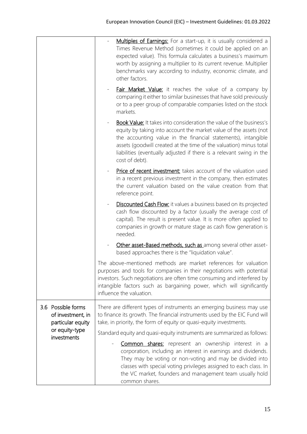|                                                                                               | Multiples of Earnings: For a start-up, it is usually considered a<br>Times Revenue Method (sometimes it could be applied on an<br>expected value). This formula calculates a business's maximum<br>worth by assigning a multiplier to its current revenue. Multiplier<br>benchmarks vary according to industry, economic climate, and<br>other factors.                          |
|-----------------------------------------------------------------------------------------------|----------------------------------------------------------------------------------------------------------------------------------------------------------------------------------------------------------------------------------------------------------------------------------------------------------------------------------------------------------------------------------|
|                                                                                               | <b>Fair Market Value:</b> it reaches the value of a company by<br>comparing it either to similar businesses that have sold previously<br>or to a peer group of comparable companies listed on the stock<br>markets.                                                                                                                                                              |
|                                                                                               | <b>Book Value:</b> It takes into consideration the value of the business's<br>equity by taking into account the market value of the assets (not<br>the accounting value in the financial statements), intangible<br>assets (goodwill created at the time of the valuation) minus total<br>liabilities (eventually adjusted if there is a relevant swing in the<br>cost of debt). |
|                                                                                               | Price of recent investment: takes account of the valuation used<br>in a recent previous investment in the company, then estimates<br>the current valuation based on the value creation from that<br>reference point.                                                                                                                                                             |
|                                                                                               | <b>Discounted Cash Flow:</b> it values a business based on its projected<br>cash flow discounted by a factor (usually the average cost of<br>capital). The result is present value. It is more often applied to<br>companies in growth or mature stage as cash flow generation is<br>needed.                                                                                     |
|                                                                                               | Other asset-Based methods, such as among several other asset-<br>based approaches there is the "liquidation value".                                                                                                                                                                                                                                                              |
|                                                                                               | The above-mentioned methods are market references for valuation<br>purposes and tools for companies in their negotiations with potential<br>investors. Such negotiations are often time consuming and interfered by<br>intangible factors such as bargaining power, which will significantly<br>influence the valuation.                                                         |
| 3.6 Possible forms<br>of investment, in<br>particular equity<br>or equity-type<br>investments | There are different types of instruments an emerging business may use<br>to finance its growth. The financial instruments used by the EIC Fund will<br>take, in priority, the form of equity or quasi-equity investments.                                                                                                                                                        |
|                                                                                               | Standard equity and quasi-equity instruments are summarized as follows:<br><b>Common shares:</b> represent an ownership interest in a<br>corporation, including an interest in earnings and dividends.<br>They may be voting or non-voting and may be divided into                                                                                                               |
|                                                                                               | classes with special voting privileges assigned to each class. In<br>the VC market, founders and management team usually hold<br>common shares.                                                                                                                                                                                                                                  |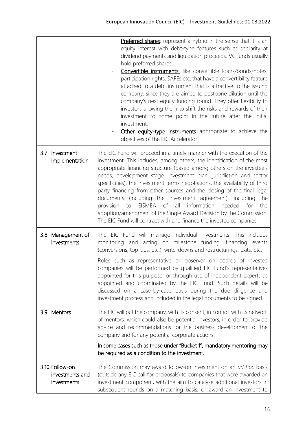|                                                  | <b>Preferred shares:</b> represent a hybrid in the sense that it is an<br>equity interest with debt-type features such as seniority at<br>dividend payments and liquidation proceeds. VC funds usually<br>hold preferred shares.<br>Convertible instruments: like convertible loans/bonds/notes,<br>participation rights, SAFEs etc. that have a convertibility feature<br>attached to a debt instrument that is attractive to the issuing<br>company, since they are aimed to postpone dilution until the<br>company's next equity funding round. They offer flexibility to<br>investors allowing them to shift the risks and rewards of their<br>investment to some point in the future after the initial<br>investment.<br>Other equity-type instruments appropriate to achieve the<br>objectives of the EIC Accelerator. |
|--------------------------------------------------|------------------------------------------------------------------------------------------------------------------------------------------------------------------------------------------------------------------------------------------------------------------------------------------------------------------------------------------------------------------------------------------------------------------------------------------------------------------------------------------------------------------------------------------------------------------------------------------------------------------------------------------------------------------------------------------------------------------------------------------------------------------------------------------------------------------------------|
| Investment<br>3.7<br>Implementation              | The EIC Fund will proceed in a timely manner with the execution of the<br>investment. This includes, among others, the identification of the most<br>appropriate financing structure (based among others on the investee's<br>needs, development stage, investment plan, jurisdiction and sector<br>specificities), the investment terms negotiations, the availability of third<br>party financing from other sources and the closing of the final legal<br>documents (including the investment agreement), including<br>the<br>information<br>EISMEA of<br>provision<br>all<br>needed<br>for<br>the<br>to<br>adoption/amendment of the Single Award Decision by the Commission.<br>The EIC Fund will contract with and finance the investee companies.                                                                     |
| 3.8 Management of<br>investments                 | The EIC Fund will manage individual investments. This includes<br>and acting on milestone funding, financing events<br>monitoring<br>(conversions, top-ups, etc.), write-downs and restructurings, exits, etc.<br>Roles such as representative or observer on boards of investee<br>companies will be performed by qualified EIC Fund's representatives<br>appointed for this purpose, or through use of independent experts as<br>appointed and coordinated by the EIC Fund. Such details will be<br>discussed on a case-by-case basis during the due diligence and<br>investment process and included in the legal documents to be signed.                                                                                                                                                                                 |
| 3.9 Mentors                                      | The EIC will put the company, with its consent, in contact with its network<br>of mentors, which could also be potential investors, in order to provide<br>advice and recommendations for the business development of the<br>company and for any potential corporate actions.<br>In some cases such as those under "Bucket 1", mandatory mentoring may<br>be required as a condition to the investment.                                                                                                                                                                                                                                                                                                                                                                                                                      |
| 3.10 Follow-on<br>investments and<br>investments | The Commission may award follow-on investment on an ad hoc basis<br>(outside any EIC call for proposals) to companies that were awarded an<br>investment component, with the aim to catalyse additional investors in<br>subsequent rounds on a matching basis; or award an investment to                                                                                                                                                                                                                                                                                                                                                                                                                                                                                                                                     |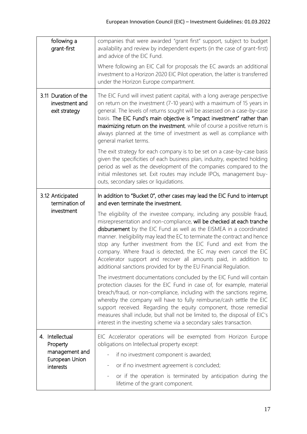| following a<br>grant-first                              | companies that were awarded "grant first" support, subject to budget<br>availability and review by independent experts (in the case of grant-first)<br>and advice of the EIC Fund.                                                                                                                                                                                                                                                                                                                                                                                                  |
|---------------------------------------------------------|-------------------------------------------------------------------------------------------------------------------------------------------------------------------------------------------------------------------------------------------------------------------------------------------------------------------------------------------------------------------------------------------------------------------------------------------------------------------------------------------------------------------------------------------------------------------------------------|
|                                                         | Where following an EIC Call for proposals the EC awards an additional<br>investment to a Horizon 2020 EIC Pilot operation, the latter is transferred<br>under the Horizon Europe compartment.                                                                                                                                                                                                                                                                                                                                                                                       |
| 3.11 Duration of the<br>investment and<br>exit strategy | The EIC Fund will invest patient capital, with a long average perspective<br>on return on the investment (7-10 years) with a maximum of 15 years in<br>general. The levels of returns sought will be assessed on a case-by-case<br>basis. The EIC Fund's main objective is "impact investment" rather than<br>maximizing return on the investment, while of course a positive return is<br>always planned at the time of investment as well as compliance with<br>general market terms.                                                                                             |
|                                                         | The exit strategy for each company is to be set on a case-by-case basis<br>given the specificities of each business plan, industry, expected holding<br>period as well as the development of the companies compared to the<br>initial milestones set. Exit routes may include IPOs, management buy-<br>outs, secondary sales or liquidations.                                                                                                                                                                                                                                       |
| 3.12 Anticipated<br>termination of<br>investment        | In addition to "Bucket 0", other cases may lead the EIC Fund to interrupt<br>and even terminate the investment.                                                                                                                                                                                                                                                                                                                                                                                                                                                                     |
|                                                         | The eligibility of the investee company, including any possible fraud,<br>misrepresentation and non-compliance, will be checked at each tranche<br>disbursement by the EIC Fund as well as the EISMEA in a coordinated<br>manner. Ineligibility may lead the EC to terminate the contract and hence<br>stop any further investment from the EIC Fund and exit from the<br>company. Where fraud is detected, the EC may even cancel the EIC<br>Accelerator support and recover all amounts paid, in addition to<br>additional sanctions provided for by the EU Financial Regulation. |
|                                                         | The investment documentations concluded by the EIC Fund will contain<br>protection clauses for the EIC Fund in case of, for example, material<br>breach/fraud, or non-compliance, including with the sanctions regime,<br>whereby the company will have to fully reimburse/cash settle the EIC<br>support received. Regarding the equity component, those remedial<br>measures shall include, but shall not be limited to, the disposal of EIC's<br>interest in the investing scheme via a secondary sales transaction.                                                             |
| 4. Intellectual<br>Property                             | EIC Accelerator operations will be exempted from Horizon Europe<br>obligations on Intellectual property except:                                                                                                                                                                                                                                                                                                                                                                                                                                                                     |
| management and                                          | if no investment component is awarded;                                                                                                                                                                                                                                                                                                                                                                                                                                                                                                                                              |
| European Union<br>interests                             | or if no investment agreement is concluded;                                                                                                                                                                                                                                                                                                                                                                                                                                                                                                                                         |
|                                                         | or if the operation is terminated by anticipation during the<br>lifetime of the grant component.                                                                                                                                                                                                                                                                                                                                                                                                                                                                                    |